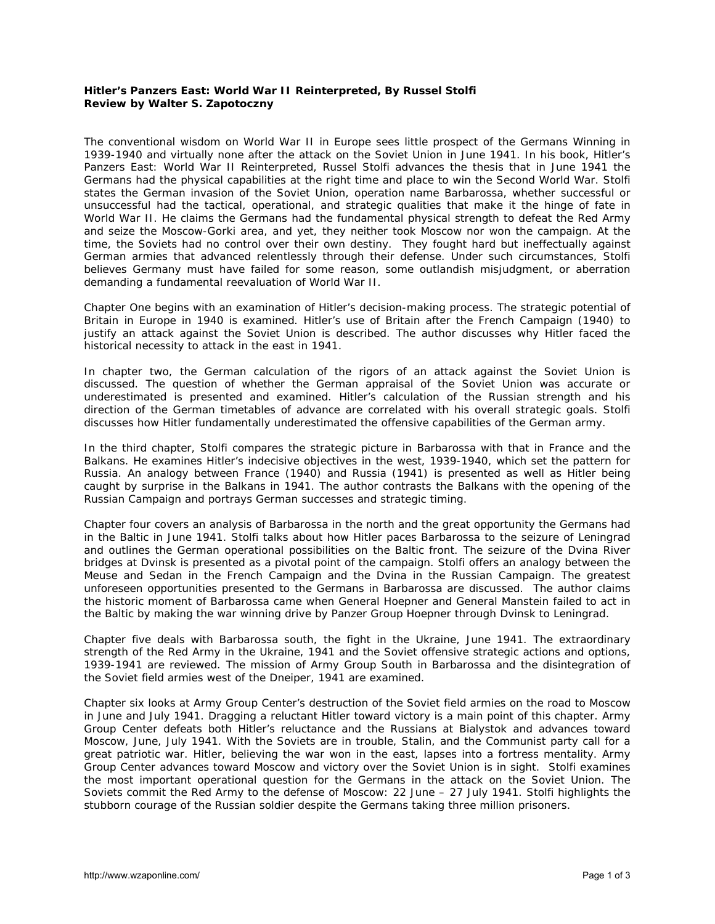## **Hitler's Panzers East: World War II Reinterpreted, By Russel Stolfi Review by Walter S. Zapotoczny**

The conventional wisdom on World War II in Europe sees little prospect of the Germans Winning in 1939-1940 and virtually none after the attack on the Soviet Union in June 1941. In his book, *Hitler's Panzers East: World War II Reinterpreted*, Russel Stolfi advances the thesis that in June 1941 the Germans had the physical capabilities at the right time and place to win the Second World War. Stolfi states the German invasion of the Soviet Union, operation name *Barbarossa*, whether successful or unsuccessful had the tactical, operational, and strategic qualities that make it the hinge of fate in World War II. He claims the Germans had the fundamental physical strength to defeat the Red Army and seize the Moscow-Gorki area, and yet, they neither took Moscow nor won the campaign. At the time, the Soviets had no control over their own destiny. They fought hard but ineffectually against German armies that advanced relentlessly through their defense. Under such circumstances, Stolfi believes Germany must have failed for some reason, some outlandish misjudgment, or aberration demanding a fundamental reevaluation of World War II.

Chapter One begins with an examination of Hitler's decision-making process. The strategic potential of Britain in Europe in 1940 is examined. Hitler's use of Britain after the French Campaign (1940) to justify an attack against the Soviet Union is described. The author discusses why Hitler faced the historical necessity to attack in the east in 1941.

In chapter two, the German calculation of the rigors of an attack against the Soviet Union is discussed. The question of whether the German appraisal of the Soviet Union was accurate or underestimated is presented and examined. Hitler's calculation of the Russian strength and his direction of the German timetables of advance are correlated with his overall strategic goals. Stolfi discusses how Hitler fundamentally underestimated the offensive capabilities of the German army.

In the third chapter, Stolfi compares the strategic picture in *Barbarossa* with that in France and the Balkans. He examines Hitler's indecisive objectives in the west, 1939-1940, which set the pattern for Russia. An analogy between France (1940) and Russia (1941) is presented as well as Hitler being caught by surprise in the Balkans in 1941. The author contrasts the Balkans with the opening of the Russian Campaign and portrays German successes and strategic timing.

Chapter four covers an analysis of *Barbarossa* in the north and the great opportunity the Germans had in the Baltic in June 1941. Stolfi talks about how Hitler paces *Barbarossa* to the seizure of Leningrad and outlines the German operational possibilities on the Baltic front. The seizure of the Dvina River bridges at Dvinsk is presented as a pivotal point of the campaign. Stolfi offers an analogy between the Meuse and Sedan in the French Campaign and the Dvina in the Russian Campaign. The greatest unforeseen opportunities presented to the Germans in *Barbarossa* are discussed. The author claims the historic moment of *Barbarossa* came when General Hoepner and General Manstein failed to act in the Baltic by making the war winning drive by Panzer Group Hoepner through Dvinsk to Leningrad.

Chapter five deals with *Barbarossa* south, the fight in the Ukraine, June 1941. The extraordinary strength of the Red Army in the Ukraine, 1941 and the Soviet offensive strategic actions and options, 1939-1941 are reviewed. The mission of Army Group South in *Barbarossa* and the disintegration of the Soviet field armies west of the Dneiper, 1941 are examined.

Chapter six looks at Army Group Center's destruction of the Soviet field armies on the road to Moscow in June and July 1941. Dragging a reluctant Hitler toward victory is a main point of this chapter. Army Group Center defeats both Hitler's reluctance and the Russians at Bialystok and advances toward Moscow, June, July 1941. With the Soviets are in trouble, Stalin, and the Communist party call for a great patriotic war. Hitler, believing the war won in the east, lapses into a fortress mentality. Army Group Center advances toward Moscow and victory over the Soviet Union is in sight. Stolfi examines the most important operational question for the Germans in the attack on the Soviet Union. The Soviets commit the Red Army to the defense of Moscow: 22 June – 27 July 1941. Stolfi highlights the stubborn courage of the Russian soldier despite the Germans taking three million prisoners.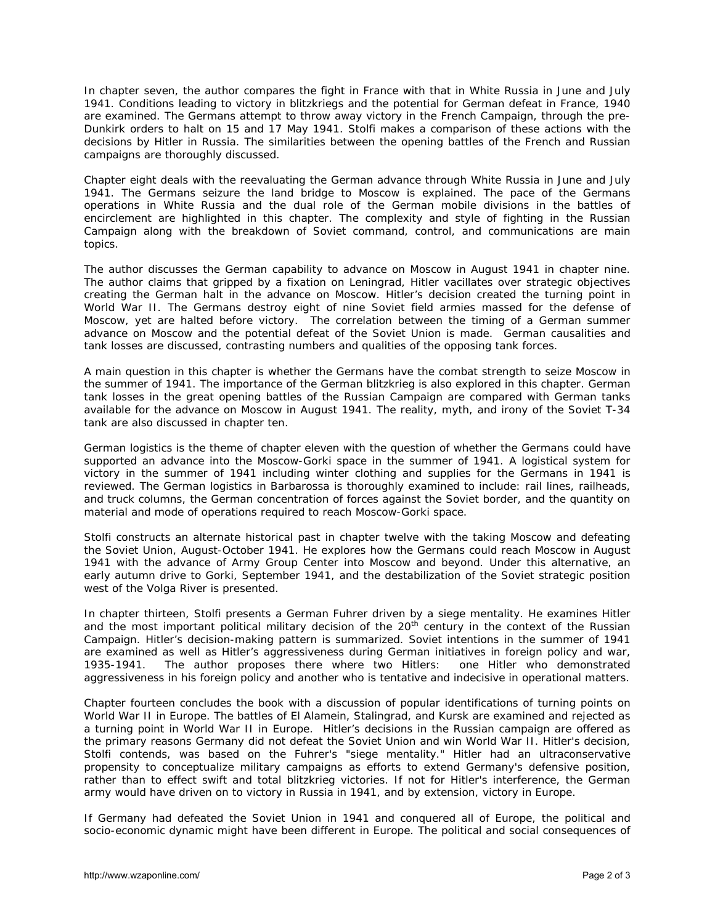In chapter seven, the author compares the fight in France with that in White Russia in June and July 1941. Conditions leading to victory in blitzkriegs and the potential for German defeat in France, 1940 are examined. The Germans attempt to throw away victory in the French Campaign, through the pre-Dunkirk orders to halt on 15 and 17 May 1941. Stolfi makes a comparison of these actions with the decisions by Hitler in Russia. The similarities between the opening battles of the French and Russian campaigns are thoroughly discussed.

Chapter eight deals with the reevaluating the German advance through White Russia in June and July 1941. The Germans seizure the land bridge to Moscow is explained. The pace of the Germans operations in White Russia and the dual role of the German mobile divisions in the battles of encirclement are highlighted in this chapter. The complexity and style of fighting in the Russian Campaign along with the breakdown of Soviet command, control, and communications are main topics.

The author discusses the German capability to advance on Moscow in August 1941 in chapter nine. The author claims that gripped by a fixation on Leningrad, Hitler vacillates over strategic objectives creating the German halt in the advance on Moscow. Hitler's decision created the turning point in World War II. The Germans destroy eight of nine Soviet field armies massed for the defense of Moscow, yet are halted before victory. The correlation between the timing of a German summer advance on Moscow and the potential defeat of the Soviet Union is made. German causalities and tank losses are discussed, contrasting numbers and qualities of the opposing tank forces.

A main question in this chapter is whether the Germans have the combat strength to seize Moscow in the summer of 1941. The importance of the German blitzkrieg is also explored in this chapter. German tank losses in the great opening battles of the Russian Campaign are compared with German tanks available for the advance on Moscow in August 1941. The reality, myth, and irony of the Soviet T-34 tank are also discussed in chapter ten.

German logistics is the theme of chapter eleven with the question of whether the Germans could have supported an advance into the Moscow-Gorki space in the summer of 1941. A logistical system for victory in the summer of 1941 including winter clothing and supplies for the Germans in 1941 is reviewed. The German logistics in Barbarossa is thoroughly examined to include: rail lines, railheads, and truck columns, the German concentration of forces against the Soviet border, and the quantity on material and mode of operations required to reach Moscow-Gorki space.

Stolfi constructs an alternate historical past in chapter twelve with the taking Moscow and defeating the Soviet Union, August-October 1941. He explores how the Germans could reach Moscow in August 1941 with the advance of Army Group Center into Moscow and beyond. Under this alternative, an early autumn drive to Gorki, September 1941, and the destabilization of the Soviet strategic position west of the Volga River is presented.

In chapter thirteen, Stolfi presents a German Fuhrer driven by a siege mentality. He examines Hitler and the most important political military decision of the  $20<sup>th</sup>$  century in the context of the Russian Campaign. Hitler's decision-making pattern is summarized. Soviet intentions in the summer of 1941 are examined as well as Hitler's aggressiveness during German initiatives in foreign policy and war, 1935-1941. The author proposes there where two Hitlers: one Hitler who demonstrated aggressiveness in his foreign policy and another who is tentative and indecisive in operational matters.

Chapter fourteen concludes the book with a discussion of popular identifications of turning points on World War II in Europe. The battles of El Alamein, Stalingrad, and Kursk are examined and rejected as a turning point in World War II in Europe. Hitler's decisions in the Russian campaign are offered as the primary reasons Germany did not defeat the Soviet Union and win World War II. Hitler's decision, Stolfi contends, was based on the Fuhrer's "siege mentality." Hitler had an ultraconservative propensity to conceptualize military campaigns as efforts to extend Germany's defensive position, rather than to effect swift and total blitzkrieg victories. If not for Hitler's interference, the German army would have driven on to victory in Russia in 1941, and by extension, victory in Europe.

If Germany had defeated the Soviet Union in 1941 and conquered all of Europe, the political and socio-economic dynamic might have been different in Europe. The political and social consequences of